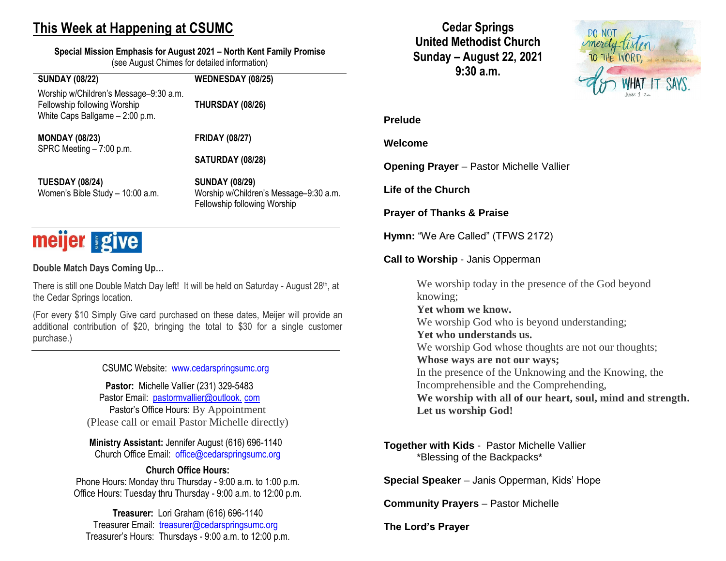## **This Week at Happening at CSUMC**

**Special Mission Emphasis for August 2021 – North Kent Family Promise** (see August Chimes for detailed information)

#### **SUNDAY (08/22) WEDNESDAY (08/25)** Worship w/Children's Message–9:30 a.m. Fellowship following Worship **THURSDAY (08/26)** White Caps Ballgame – 2:00 p.m.

**MONDAY (08/23) FRIDAY (08/27)** SPRC Meeting – 7:00 p.m.

**SATURDAY (08/28)**

**TUESDAY (08/24) SUNDAY (08/29)** 

Women's Bible Study – 10:00 a.m. Worship w/Children's Message–9:30 a.m. Fellowship following Worship

# meijer give

**Double Match Days Coming Up…**

There is still one Double Match Day left! It will be held on Saturday - August 28<sup>th</sup>, at the Cedar Springs location.

(For every \$10 Simply Give card purchased on these dates, Meijer will provide an additional contribution of \$20, bringing the total to \$30 for a single customer purchase.)

CSUMC Website: [www.cedarspringsumc.org](http://www.cedarspringsumc.org/)

**Pastor:** Michelle Vallier (231) 329-5483 Pastor Email: [pastormvallier@outlook.](mailto:pastormvallier@outlook.com) com Pastor's Office Hours: By Appointment (Please call or email Pastor Michelle directly)

**Ministry Assistant:** Jennifer August (616) 696-1140 Church Office Email: [office@cedarspringsumc.org](mailto:office@cedarspringsumc.org)

#### **Church Office Hours:**

Phone Hours: Monday thru Thursday - 9:00 a.m. to 1:00 p.m. Office Hours: Tuesday thru Thursday - 9:00 a.m. to 12:00 p.m.

**Treasurer:** Lori Graham (616) 696-1140 Treasurer Email: treasurer@cedarspringsumc.org Treasurer's Hours: Thursdays - 9:00 a.m. to 12:00 p.m.

**Cedar Springs United Methodist Church Sunday – August 22, 2021 9:30 a.m.**



#### **Prelude**

#### **Welcome**

**Opening Prayer** – Pastor Michelle Vallier

**Life of the Church**

**Prayer of Thanks & Praise**

**Hymn:** "We Are Called" (TFWS 2172)

**Call to Worship** - Janis Opperman

We worship today in the presence of the God beyond knowing; **Yet whom we know.** We worship God who is beyond understanding; **Yet who understands us.** We worship God whose thoughts are not our thoughts; **Whose ways are not our ways;** In the presence of the Unknowing and the Knowing, the Incomprehensible and the Comprehending, **We worship with all of our heart, soul, mind and strength. Let us worship God!**

#### **Together with Kids** -Pastor Michelle Vallier \*Blessing of the Backpacks\*

**Special Speaker** – Janis Opperman, Kids' Hope

**Community Prayers** – Pastor Michelle

**The Lord's Prayer**